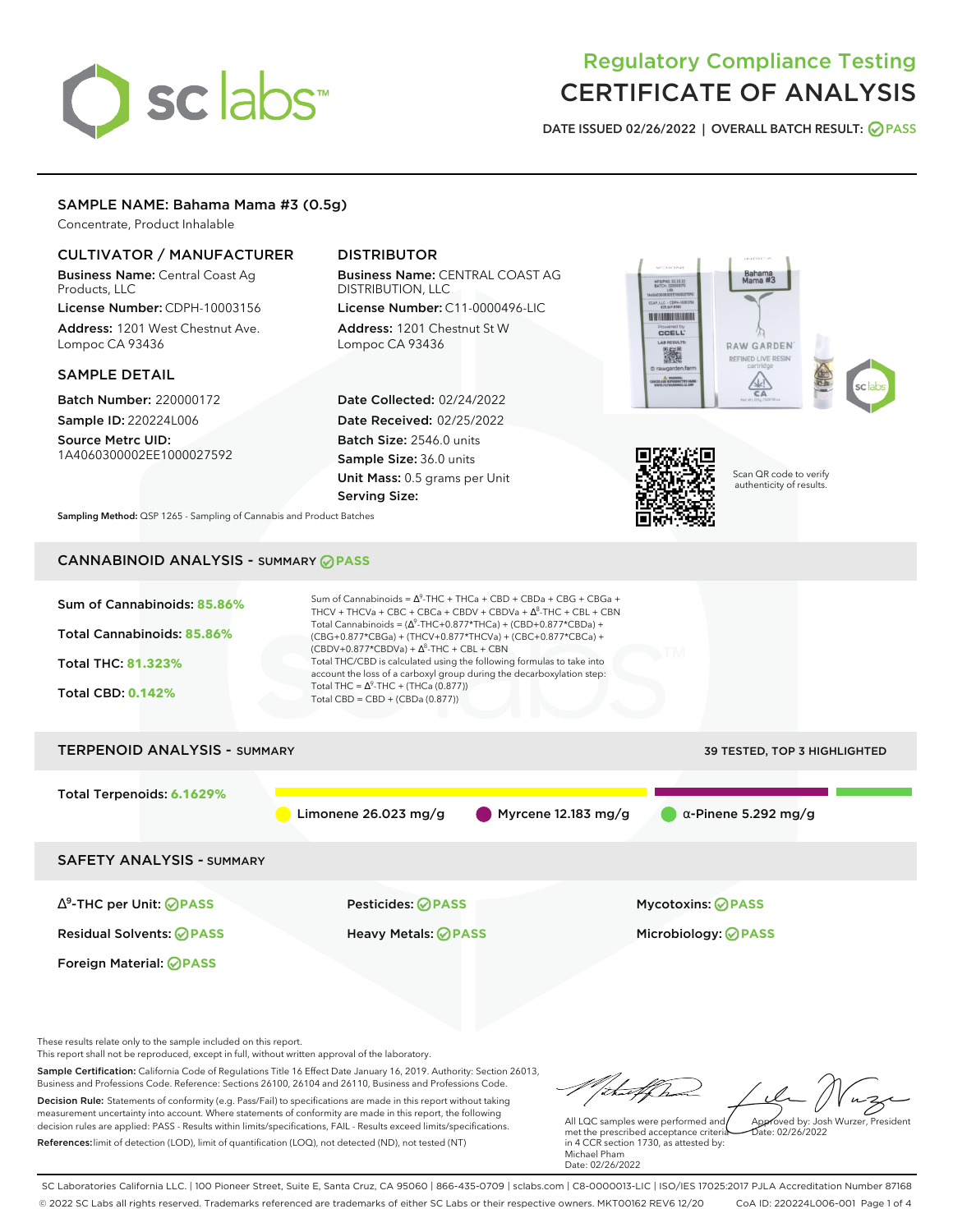# sclabs<sup>\*</sup>

## Regulatory Compliance Testing CERTIFICATE OF ANALYSIS

**DATE ISSUED 02/26/2022 | OVERALL BATCH RESULT: PASS**

#### SAMPLE NAME: Bahama Mama #3 (0.5g)

Concentrate, Product Inhalable

#### CULTIVATOR / MANUFACTURER

Business Name: Central Coast Ag Products, LLC License Number: CDPH-10003156

Address: 1201 West Chestnut Ave. Lompoc CA 93436

#### SAMPLE DETAIL

Batch Number: 220000172 Sample ID: 220224L006

Source Metrc UID: 1A4060300002EE1000027592

#### DISTRIBUTOR

Business Name: CENTRAL COAST AG DISTRIBUTION, LLC

License Number: C11-0000496-LIC Address: 1201 Chestnut St W Lompoc CA 93436

Date Collected: 02/24/2022 Date Received: 02/25/2022 Batch Size: 2546.0 units Sample Size: 36.0 units Unit Mass: 0.5 grams per Unit Serving Size:





Scan QR code to verify authenticity of results.

**Sampling Method:** QSP 1265 - Sampling of Cannabis and Product Batches

### CANNABINOID ANALYSIS - SUMMARY **PASS**

| Sum of Cannabinoids: 85.86%<br>Total Cannabinoids: 85.86%<br><b>Total THC: 81.323%</b><br><b>Total CBD: 0.142%</b> | Sum of Cannabinoids = $\Delta^9$ -THC + THCa + CBD + CBDa + CBG + CBGa +<br>THCV + THCVa + CBC + CBCa + CBDV + CBDVa + $\Delta^8$ -THC + CBL + CBN<br>Total Cannabinoids = $(\Delta^9$ -THC+0.877*THCa) + (CBD+0.877*CBDa) +<br>(CBG+0.877*CBGa) + (THCV+0.877*THCVa) + (CBC+0.877*CBCa) +<br>$(CBDV+0.877*CBDVa) + \Delta^8$ -THC + CBL + CBN<br>Total THC/CBD is calculated using the following formulas to take into<br>account the loss of a carboxyl group during the decarboxylation step:<br>Total THC = $\Delta^9$ -THC + (THCa (0.877))<br>Total CBD = CBD + (CBDa (0.877)) |                              |
|--------------------------------------------------------------------------------------------------------------------|--------------------------------------------------------------------------------------------------------------------------------------------------------------------------------------------------------------------------------------------------------------------------------------------------------------------------------------------------------------------------------------------------------------------------------------------------------------------------------------------------------------------------------------------------------------------------------------|------------------------------|
| <b>TERPENOID ANALYSIS - SUMMARY</b>                                                                                |                                                                                                                                                                                                                                                                                                                                                                                                                                                                                                                                                                                      | 39 TESTED, TOP 3 HIGHLIGHTED |
| Total Terpenoids: 6.1629%                                                                                          | Myrcene 12.183 mg/g<br>Limonene $26.023$ mg/g                                                                                                                                                                                                                                                                                                                                                                                                                                                                                                                                        | $\alpha$ -Pinene 5.292 mg/g  |
| <b>SAFETY ANALYSIS - SUMMARY</b>                                                                                   |                                                                                                                                                                                                                                                                                                                                                                                                                                                                                                                                                                                      |                              |
| $\Delta^9$ -THC per Unit: <b>PASS</b>                                                                              | <b>Pesticides: ⊘ PASS</b>                                                                                                                                                                                                                                                                                                                                                                                                                                                                                                                                                            | <b>Mycotoxins: ⊘PASS</b>     |
| <b>Residual Solvents: ⊘ PASS</b>                                                                                   | <b>Heavy Metals: ⊘ PASS</b>                                                                                                                                                                                                                                                                                                                                                                                                                                                                                                                                                          | Microbiology: <b>⊘PASS</b>   |
| <b>Foreign Material: ⊘PASS</b>                                                                                     |                                                                                                                                                                                                                                                                                                                                                                                                                                                                                                                                                                                      |                              |

These results relate only to the sample included on this report.

This report shall not be reproduced, except in full, without written approval of the laboratory.

Sample Certification: California Code of Regulations Title 16 Effect Date January 16, 2019. Authority: Section 26013, Business and Professions Code. Reference: Sections 26100, 26104 and 26110, Business and Professions Code. Decision Rule: Statements of conformity (e.g. Pass/Fail) to specifications are made in this report without taking measurement uncertainty into account. Where statements of conformity are made in this report, the following decision rules are applied: PASS - Results within limits/specifications, FAIL - Results exceed limits/specifications.

References:limit of detection (LOD), limit of quantification (LOQ), not detected (ND), not tested (NT)

thathe Approved by: Josh Wurzer, President

 $ate: 02/26/2022$ 

All LQC samples were performed and met the prescribed acceptance criteria in 4 CCR section 1730, as attested by: Michael Pham Date: 02/26/2022

SC Laboratories California LLC. | 100 Pioneer Street, Suite E, Santa Cruz, CA 95060 | 866-435-0709 | sclabs.com | C8-0000013-LIC | ISO/IES 17025:2017 PJLA Accreditation Number 87168 © 2022 SC Labs all rights reserved. Trademarks referenced are trademarks of either SC Labs or their respective owners. MKT00162 REV6 12/20 CoA ID: 220224L006-001 Page 1 of 4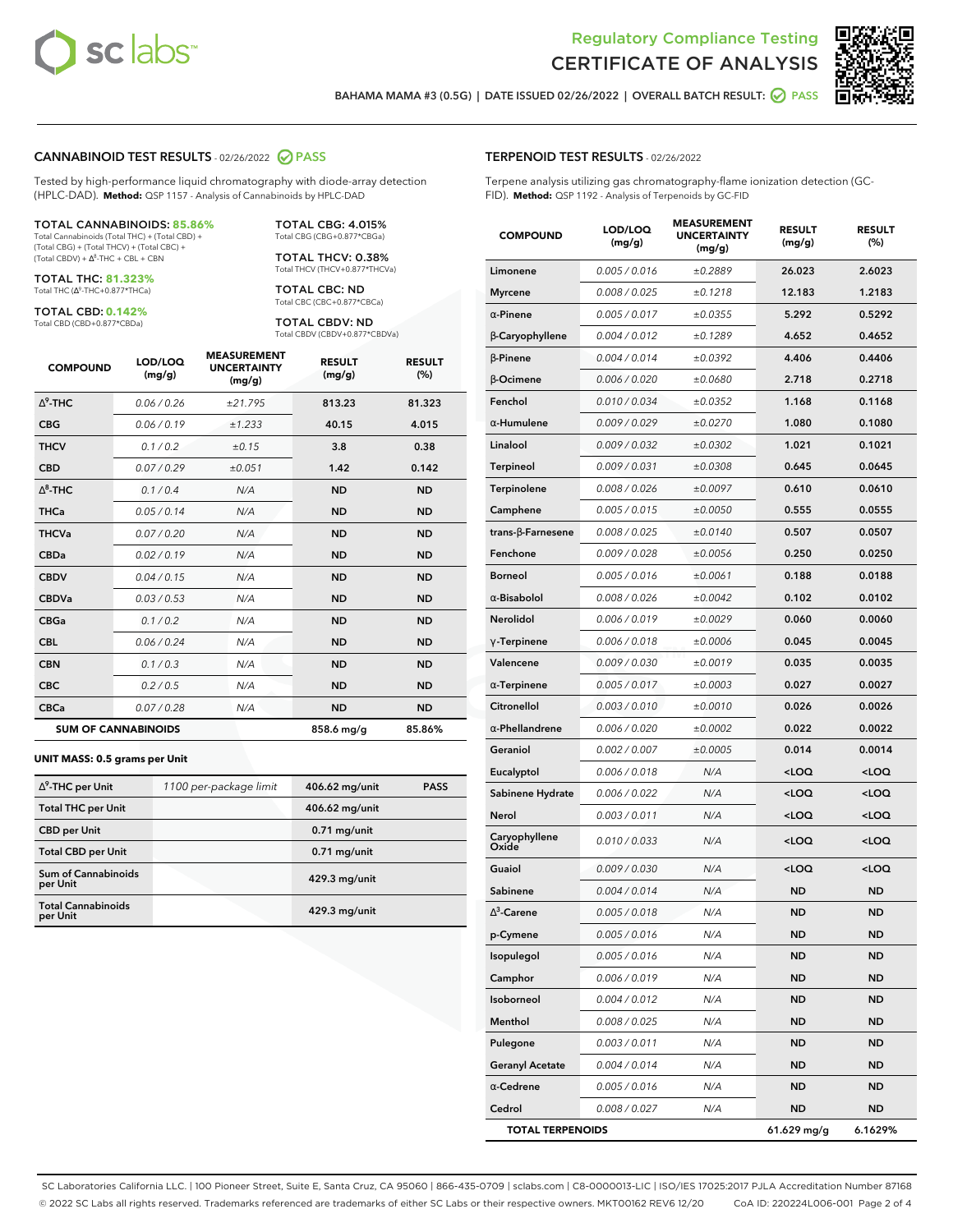



**BAHAMA MAMA #3 (0.5G) | DATE ISSUED 02/26/2022 | OVERALL BATCH RESULT: PASS**

#### **CANNABINOID TEST RESULTS** - 02/26/2022 **PASS**

Tested by high-performance liquid chromatography with diode-array detection (HPLC-DAD). **Method:** QSP 1157 - Analysis of Cannabinoids by HPLC-DAD

#### TOTAL CANNABINOIDS: **85.86%** Total Cannabinoids (Total THC) + (Total CBD) +

(Total CBG) + (Total THCV) + (Total CBC) +  $(Total CBDV) +  $\Delta^8$ -THC + CBL + CBN$ 

TOTAL THC: **81.323%** Total THC (Δ<sup>9</sup>-THC+0.877\*THCa)

TOTAL CBD: **0.142%**

Total CBD (CBD+0.877\*CBDa)

TOTAL CBG: 4.015% Total CBG (CBG+0.877\*CBGa)

TOTAL THCV: 0.38% Total THCV (THCV+0.877\*THCVa)

TOTAL CBC: ND Total CBC (CBC+0.877\*CBCa)

TOTAL CBDV: ND Total CBDV (CBDV+0.877\*CBDVa)

| <b>COMPOUND</b>  | LOD/LOQ<br>(mg/g)          | <b>MEASUREMENT</b><br><b>UNCERTAINTY</b><br>(mg/g) | <b>RESULT</b><br>(mg/g) | <b>RESULT</b><br>(%) |
|------------------|----------------------------|----------------------------------------------------|-------------------------|----------------------|
| $\Lambda^9$ -THC | 0.06/0.26                  | ±21.795                                            | 813.23                  | 81.323               |
| <b>CBG</b>       | 0.06/0.19                  | ±1.233                                             | 40.15                   | 4.015                |
| <b>THCV</b>      | 0.1 / 0.2                  | ±0.15                                              | 3.8                     | 0.38                 |
| <b>CBD</b>       | 0.07/0.29                  | ±0.051                                             | 1.42                    | 0.142                |
| $\Delta^8$ -THC  | 0.1/0.4                    | N/A                                                | <b>ND</b>               | <b>ND</b>            |
| <b>THCa</b>      | 0.05/0.14                  | N/A                                                | <b>ND</b>               | <b>ND</b>            |
| <b>THCVa</b>     | 0.07 / 0.20                | N/A                                                | <b>ND</b>               | <b>ND</b>            |
| <b>CBDa</b>      | 0.02/0.19                  | N/A                                                | <b>ND</b>               | <b>ND</b>            |
| <b>CBDV</b>      | 0.04 / 0.15                | N/A                                                | <b>ND</b>               | <b>ND</b>            |
| <b>CBDVa</b>     | 0.03 / 0.53                | N/A                                                | <b>ND</b>               | <b>ND</b>            |
| <b>CBGa</b>      | 0.1 / 0.2                  | N/A                                                | <b>ND</b>               | <b>ND</b>            |
| <b>CBL</b>       | 0.06 / 0.24                | N/A                                                | <b>ND</b>               | <b>ND</b>            |
| <b>CBN</b>       | 0.1 / 0.3                  | N/A                                                | <b>ND</b>               | <b>ND</b>            |
| <b>CBC</b>       | 0.2 / 0.5                  | N/A                                                | <b>ND</b>               | <b>ND</b>            |
| <b>CBCa</b>      | 0.07 / 0.28                | N/A                                                | <b>ND</b>               | <b>ND</b>            |
|                  | <b>SUM OF CANNABINOIDS</b> |                                                    | 858.6 mg/g              | 85.86%               |

#### **UNIT MASS: 0.5 grams per Unit**

| $\Delta^9$ -THC per Unit               | 1100 per-package limit | 406.62 mg/unit | <b>PASS</b> |
|----------------------------------------|------------------------|----------------|-------------|
| <b>Total THC per Unit</b>              |                        | 406.62 mg/unit |             |
| <b>CBD</b> per Unit                    |                        | $0.71$ mg/unit |             |
| <b>Total CBD per Unit</b>              |                        | $0.71$ mg/unit |             |
| <b>Sum of Cannabinoids</b><br>per Unit |                        | 429.3 mg/unit  |             |
| <b>Total Cannabinoids</b><br>per Unit  |                        | 429.3 mg/unit  |             |

| <b>COMPOUND</b>          | LOD/LOQ<br>(mg/g) | ๚๖ฃ๙๛๚<br><b>UNCERTAINTY</b><br>(mg/g) | <b>RESULT</b><br>(mg/g)                         | <b>RESULT</b><br>$(\%)$ |
|--------------------------|-------------------|----------------------------------------|-------------------------------------------------|-------------------------|
| Limonene                 | 0.005 / 0.016     | ±0.2889                                | 26.023                                          | 2.6023                  |
| Myrcene                  | 0.008 / 0.025     | ±0.1218                                | 12.183                                          | 1.2183                  |
| $\alpha$ -Pinene         | 0.005 / 0.017     | ±0.0355                                | 5.292                                           | 0.5292                  |
| β-Caryophyllene          | 0.004 / 0.012     | ±0.1289                                | 4.652                                           | 0.4652                  |
| $\beta$ -Pinene          | 0.004 / 0.014     | ±0.0392                                | 4.406                                           | 0.4406                  |
| β-Ocimene                | 0.006 / 0.020     | ±0.0680                                | 2.718                                           | 0.2718                  |
| Fenchol                  | 0.010 / 0.034     | ±0.0352                                | 1.168                                           | 0.1168                  |
| α-Humulene               | 0.009/0.029       | ±0.0270                                | 1.080                                           | 0.1080                  |
| Linalool                 | 0.009 / 0.032     | ±0.0302                                | 1.021                                           | 0.1021                  |
| Terpineol                | 0.009 / 0.031     | ±0.0308                                | 0.645                                           | 0.0645                  |
| Terpinolene              | 0.008 / 0.026     | ±0.0097                                | 0.610                                           | 0.0610                  |
| Camphene                 | 0.005 / 0.015     | ±0.0050                                | 0.555                                           | 0.0555                  |
| $trans-\beta$ -Farnesene | 0.008 / 0.025     | ±0.0140                                | 0.507                                           | 0.0507                  |
| Fenchone                 | 0.009 / 0.028     | ±0.0056                                | 0.250                                           | 0.0250                  |
| Borneol                  | 0.005 / 0.016     | ±0.0061                                | 0.188                                           | 0.0188                  |
| $\alpha$ -Bisabolol      | 0.008 / 0.026     | ±0.0042                                | 0.102                                           | 0.0102                  |
| Nerolidol                | 0.006 / 0.019     | ±0.0029                                | 0.060                                           | 0.0060                  |
| $\gamma$ -Terpinene      | 0.006 / 0.018     | ±0.0006                                | 0.045                                           | 0.0045                  |
| Valencene                | 0.009 / 0.030     | ±0.0019                                | 0.035                                           | 0.0035                  |
| $\alpha$ -Terpinene      | 0.005 / 0.017     | ±0.0003                                | 0.027                                           | 0.0027                  |
| Citronellol              | 0.003 / 0.010     | ±0.0010                                | 0.026                                           | 0.0026                  |
| $\alpha$ -Phellandrene   | 0.006 / 0.020     | ±0.0002                                | 0.022                                           | 0.0022                  |
| Geraniol                 | 0.002 / 0.007     | ±0.0005                                | 0.014                                           | 0.0014                  |
| Eucalyptol               | 0.006 / 0.018     | N/A                                    | <loq< th=""><th><loq< th=""></loq<></th></loq<> | <loq< th=""></loq<>     |
| Sabinene Hydrate         | 0.006 / 0.022     | N/A                                    | <loq< th=""><th><loq< th=""></loq<></th></loq<> | <loq< th=""></loq<>     |
| Nerol                    | 0.003 / 0.011     | N/A                                    | <loq< th=""><th><loq< th=""></loq<></th></loq<> | <loq< th=""></loq<>     |
| Caryophyllene<br>Oxide   | 0.010 / 0.033     | N/A                                    | <loq< th=""><th><loq< th=""></loq<></th></loq<> | <loq< th=""></loq<>     |
| Guaiol                   | 0.009 / 0.030     | N/A                                    | <loq< th=""><th><loq< th=""></loq<></th></loq<> | <loq< th=""></loq<>     |
| Sabinene                 | 0.004 / 0.014     | N/A                                    | <b>ND</b>                                       | <b>ND</b>               |
| $\Delta^3$ -Carene       | 0.005 / 0.018     | N/A                                    | <b>ND</b>                                       | <b>ND</b>               |
| p-Cymene                 | 0.005 / 0.016     | N/A                                    | ND                                              | <b>ND</b>               |
| Isopulegol               | 0.005 / 0.016     | N/A                                    | ND                                              | ND                      |
| Camphor                  | 0.006 / 0.019     | N/A                                    | <b>ND</b>                                       | ND                      |
| Isoborneol               | 0.004 / 0.012     | N/A                                    | ND                                              | ND                      |
| Menthol                  | 0.008 / 0.025     | N/A                                    | ND                                              | ND                      |
| Pulegone                 | 0.003 / 0.011     | N/A                                    | <b>ND</b>                                       | ND                      |
| <b>Geranyl Acetate</b>   | 0.004 / 0.014     | N/A                                    | ND                                              | ND                      |
| $\alpha$ -Cedrene        | 0.005 / 0.016     | N/A                                    | ND                                              | ND                      |
| Cedrol                   | 0.008 / 0.027     | N/A                                    | <b>ND</b>                                       | ND                      |
| <b>TOTAL TERPENOIDS</b>  |                   |                                        | 61.629 mg/g                                     | 6.1629%                 |

SC Laboratories California LLC. | 100 Pioneer Street, Suite E, Santa Cruz, CA 95060 | 866-435-0709 | sclabs.com | C8-0000013-LIC | ISO/IES 17025:2017 PJLA Accreditation Number 87168 © 2022 SC Labs all rights reserved. Trademarks referenced are trademarks of either SC Labs or their respective owners. MKT00162 REV6 12/20 CoA ID: 220224L006-001 Page 2 of 4

#### **TERPENOID TEST RESULTS** - 02/26/2022

Terpene analysis utilizing gas chromatography-flame ionization detection (GC-FID). **Method:** QSP 1192 - Analysis of Terpenoids by GC-FID

**MEASUREMENT**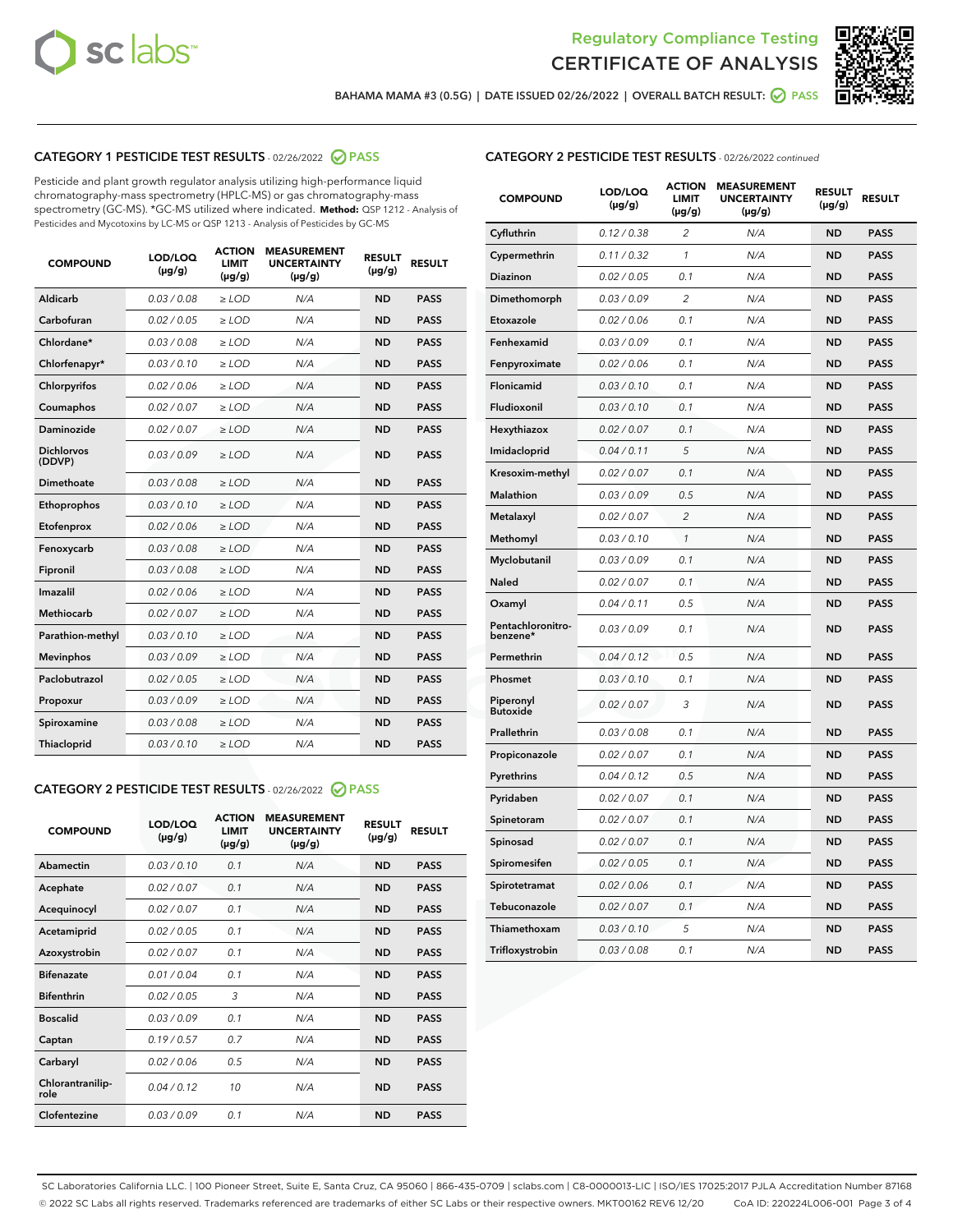



**BAHAMA MAMA #3 (0.5G) | DATE ISSUED 02/26/2022 | OVERALL BATCH RESULT: PASS**

#### **CATEGORY 1 PESTICIDE TEST RESULTS** - 02/26/2022 **PASS**

Pesticide and plant growth regulator analysis utilizing high-performance liquid chromatography-mass spectrometry (HPLC-MS) or gas chromatography-mass spectrometry (GC-MS). \*GC-MS utilized where indicated. **Method:** QSP 1212 - Analysis of Pesticides and Mycotoxins by LC-MS or QSP 1213 - Analysis of Pesticides by GC-MS

| <b>COMPOUND</b>             | LOD/LOQ<br>$(\mu g/g)$ | <b>ACTION</b><br>LIMIT<br>$(\mu g/g)$ | <b>MEASUREMENT</b><br><b>UNCERTAINTY</b><br>$(\mu g/g)$ | <b>RESULT</b><br>$(\mu g/g)$ | <b>RESULT</b> |
|-----------------------------|------------------------|---------------------------------------|---------------------------------------------------------|------------------------------|---------------|
| <b>Aldicarb</b>             | 0.03 / 0.08            | $\geq$ LOD                            | N/A                                                     | <b>ND</b>                    | <b>PASS</b>   |
| Carbofuran                  | 0.02 / 0.05            | $\ge$ LOD                             | N/A                                                     | <b>ND</b>                    | <b>PASS</b>   |
| Chlordane*                  | 0.03/0.08              | $>$ LOD                               | N/A                                                     | <b>ND</b>                    | <b>PASS</b>   |
| Chlorfenapyr*               | 0.03/0.10              | $>$ LOD                               | N/A                                                     | <b>ND</b>                    | <b>PASS</b>   |
| Chlorpyrifos                | 0.02 / 0.06            | $>$ LOD                               | N/A                                                     | <b>ND</b>                    | <b>PASS</b>   |
| Coumaphos                   | 0.02 / 0.07            | $\geq$ LOD                            | N/A                                                     | <b>ND</b>                    | <b>PASS</b>   |
| <b>Daminozide</b>           | 0.02 / 0.07            | $\ge$ LOD                             | N/A                                                     | <b>ND</b>                    | <b>PASS</b>   |
| <b>Dichlorvos</b><br>(DDVP) | 0.03/0.09              | $\geq$ LOD                            | N/A                                                     | <b>ND</b>                    | <b>PASS</b>   |
| Dimethoate                  | 0.03 / 0.08            | $>$ LOD                               | N/A                                                     | <b>ND</b>                    | <b>PASS</b>   |
| Ethoprophos                 | 0.03/0.10              | $\geq$ LOD                            | N/A                                                     | <b>ND</b>                    | <b>PASS</b>   |
| Etofenprox                  | 0.02 / 0.06            | > LOD                                 | N/A                                                     | <b>ND</b>                    | <b>PASS</b>   |
| Fenoxycarb                  | 0.03 / 0.08            | $\geq$ LOD                            | N/A                                                     | <b>ND</b>                    | <b>PASS</b>   |
| Fipronil                    | 0.03 / 0.08            | $\ge$ LOD                             | N/A                                                     | <b>ND</b>                    | <b>PASS</b>   |
| Imazalil                    | 0.02 / 0.06            | $\ge$ LOD                             | N/A                                                     | <b>ND</b>                    | <b>PASS</b>   |
| <b>Methiocarb</b>           | 0.02 / 0.07            | $\ge$ LOD                             | N/A                                                     | <b>ND</b>                    | <b>PASS</b>   |
| Parathion-methyl            | 0.03/0.10              | > LOD                                 | N/A                                                     | <b>ND</b>                    | <b>PASS</b>   |
| <b>Mevinphos</b>            | 0.03/0.09              | $\ge$ LOD                             | N/A                                                     | <b>ND</b>                    | <b>PASS</b>   |
| Paclobutrazol               | 0.02 / 0.05            | $\ge$ LOD                             | N/A                                                     | <b>ND</b>                    | <b>PASS</b>   |
| Propoxur                    | 0.03 / 0.09            | $\geq$ LOD                            | N/A                                                     | <b>ND</b>                    | <b>PASS</b>   |
| Spiroxamine                 | 0.03 / 0.08            | $\ge$ LOD                             | N/A                                                     | <b>ND</b>                    | <b>PASS</b>   |
| Thiacloprid                 | 0.03/0.10              | $>$ LOD                               | N/A                                                     | <b>ND</b>                    | <b>PASS</b>   |

#### **CATEGORY 2 PESTICIDE TEST RESULTS** - 02/26/2022 **PASS**

| <b>COMPOUND</b>          | LOD/LOQ<br>$(\mu g/g)$ | <b>ACTION</b><br><b>LIMIT</b><br>$(\mu g/g)$ | <b>MEASUREMENT</b><br><b>UNCERTAINTY</b><br>$(\mu g/g)$ | <b>RESULT</b><br>$(\mu g/g)$ | <b>RESULT</b> |  |
|--------------------------|------------------------|----------------------------------------------|---------------------------------------------------------|------------------------------|---------------|--|
| Abamectin                | 0.03/0.10              | 0.1                                          | N/A                                                     | <b>ND</b>                    | <b>PASS</b>   |  |
| Acephate                 | 0.02/0.07              | 0.1                                          | N/A                                                     | <b>ND</b>                    | <b>PASS</b>   |  |
| Acequinocyl              | 0.02/0.07              | 0.1                                          | N/A                                                     | <b>ND</b>                    | <b>PASS</b>   |  |
| Acetamiprid              | 0.02/0.05              | 0.1                                          | N/A                                                     | <b>ND</b>                    | <b>PASS</b>   |  |
| Azoxystrobin             | 0.02/0.07              | 0.1                                          | N/A                                                     | <b>ND</b>                    | <b>PASS</b>   |  |
| <b>Bifenazate</b>        | 0.01/0.04              | 0.1                                          | N/A                                                     | <b>ND</b>                    | <b>PASS</b>   |  |
| <b>Bifenthrin</b>        | 0.02 / 0.05            | 3                                            | N/A                                                     | <b>ND</b>                    | <b>PASS</b>   |  |
| <b>Boscalid</b>          | 0.03/0.09              | 0.1                                          | N/A                                                     | <b>ND</b>                    | <b>PASS</b>   |  |
| Captan                   | 0.19/0.57              | 0.7                                          | N/A                                                     | <b>ND</b>                    | <b>PASS</b>   |  |
| Carbaryl                 | 0.02/0.06              | 0.5                                          | N/A                                                     | <b>ND</b>                    | <b>PASS</b>   |  |
| Chlorantranilip-<br>role | 0.04/0.12              | 10                                           | N/A                                                     | <b>ND</b>                    | <b>PASS</b>   |  |
| Clofentezine             | 0.03/0.09              | 0.1                                          | N/A                                                     | <b>ND</b>                    | <b>PASS</b>   |  |

| <b>CATEGORY 2 PESTICIDE TEST RESULTS</b> - 02/26/2022 continued |
|-----------------------------------------------------------------|
|-----------------------------------------------------------------|

| <b>COMPOUND</b>               | LOD/LOQ<br>(µg/g) | <b>ACTION</b><br><b>LIMIT</b><br>$(\mu g/g)$ | <b>MEASUREMENT</b><br><b>UNCERTAINTY</b><br>$(\mu g/g)$ | <b>RESULT</b><br>(µg/g) | <b>RESULT</b> |
|-------------------------------|-------------------|----------------------------------------------|---------------------------------------------------------|-------------------------|---------------|
| Cyfluthrin                    | 0.12 / 0.38       | $\overline{c}$                               | N/A                                                     | <b>ND</b>               | <b>PASS</b>   |
| Cypermethrin                  | 0.11 / 0.32       | $\mathcal{I}$                                | N/A                                                     | <b>ND</b>               | <b>PASS</b>   |
| Diazinon                      | 0.02 / 0.05       | 0.1                                          | N/A                                                     | <b>ND</b>               | <b>PASS</b>   |
| Dimethomorph                  | 0.03 / 0.09       | $\overline{c}$                               | N/A                                                     | <b>ND</b>               | <b>PASS</b>   |
| Etoxazole                     | 0.02 / 0.06       | 0.1                                          | N/A                                                     | <b>ND</b>               | <b>PASS</b>   |
| Fenhexamid                    | 0.03 / 0.09       | 0.1                                          | N/A                                                     | <b>ND</b>               | <b>PASS</b>   |
| Fenpyroximate                 | 0.02 / 0.06       | 0.1                                          | N/A                                                     | <b>ND</b>               | <b>PASS</b>   |
| <b>Flonicamid</b>             | 0.03 / 0.10       | 0.1                                          | N/A                                                     | <b>ND</b>               | <b>PASS</b>   |
| Fludioxonil                   | 0.03 / 0.10       | 0.1                                          | N/A                                                     | <b>ND</b>               | <b>PASS</b>   |
| Hexythiazox                   | 0.02 / 0.07       | 0.1                                          | N/A                                                     | <b>ND</b>               | <b>PASS</b>   |
| Imidacloprid                  | 0.04 / 0.11       | 5                                            | N/A                                                     | <b>ND</b>               | <b>PASS</b>   |
| Kresoxim-methyl               | 0.02 / 0.07       | 0.1                                          | N/A                                                     | <b>ND</b>               | <b>PASS</b>   |
| <b>Malathion</b>              | 0.03 / 0.09       | 0.5                                          | N/A                                                     | <b>ND</b>               | <b>PASS</b>   |
| Metalaxyl                     | 0.02 / 0.07       | $\overline{2}$                               | N/A                                                     | <b>ND</b>               | <b>PASS</b>   |
| Methomyl                      | 0.03 / 0.10       | $\mathcal{I}$                                | N/A                                                     | <b>ND</b>               | <b>PASS</b>   |
| Myclobutanil                  | 0.03 / 0.09       | 0.1                                          | N/A                                                     | <b>ND</b>               | <b>PASS</b>   |
| Naled                         | 0.02 / 0.07       | 0.1                                          | N/A                                                     | <b>ND</b>               | <b>PASS</b>   |
| Oxamyl                        | 0.04 / 0.11       | 0.5                                          | N/A                                                     | ND                      | <b>PASS</b>   |
| Pentachloronitro-<br>benzene* | 0.03 / 0.09       | 0.1                                          | N/A                                                     | ND                      | <b>PASS</b>   |
| Permethrin                    | 0.04 / 0.12       | 0.5                                          | N/A                                                     | <b>ND</b>               | <b>PASS</b>   |
| Phosmet                       | 0.03 / 0.10       | 0.1                                          | N/A                                                     | <b>ND</b>               | <b>PASS</b>   |
| Piperonyl<br><b>Butoxide</b>  | 0.02 / 0.07       | 3                                            | N/A                                                     | <b>ND</b>               | <b>PASS</b>   |
| Prallethrin                   | 0.03 / 0.08       | 0.1                                          | N/A                                                     | <b>ND</b>               | <b>PASS</b>   |
| Propiconazole                 | 0.02 / 0.07       | 0.1                                          | N/A                                                     | <b>ND</b>               | <b>PASS</b>   |
| Pyrethrins                    | 0.04 / 0.12       | 0.5                                          | N/A                                                     | <b>ND</b>               | <b>PASS</b>   |
| Pyridaben                     | 0.02 / 0.07       | 0.1                                          | N/A                                                     | <b>ND</b>               | <b>PASS</b>   |
| Spinetoram                    | 0.02 / 0.07       | 0.1                                          | N/A                                                     | <b>ND</b>               | <b>PASS</b>   |
| Spinosad                      | 0.02 / 0.07       | 0.1                                          | N/A                                                     | <b>ND</b>               | <b>PASS</b>   |
| Spiromesifen                  | 0.02 / 0.05       | 0.1                                          | N/A                                                     | <b>ND</b>               | <b>PASS</b>   |
| Spirotetramat                 | 0.02 / 0.06       | 0.1                                          | N/A                                                     | <b>ND</b>               | <b>PASS</b>   |
| Tebuconazole                  | 0.02 / 0.07       | 0.1                                          | N/A                                                     | <b>ND</b>               | <b>PASS</b>   |
| Thiamethoxam                  | 0.03 / 0.10       | 5                                            | N/A                                                     | <b>ND</b>               | <b>PASS</b>   |
| Trifloxystrobin               | 0.03 / 0.08       | 0.1                                          | N/A                                                     | <b>ND</b>               | <b>PASS</b>   |

SC Laboratories California LLC. | 100 Pioneer Street, Suite E, Santa Cruz, CA 95060 | 866-435-0709 | sclabs.com | C8-0000013-LIC | ISO/IES 17025:2017 PJLA Accreditation Number 87168 © 2022 SC Labs all rights reserved. Trademarks referenced are trademarks of either SC Labs or their respective owners. MKT00162 REV6 12/20 CoA ID: 220224L006-001 Page 3 of 4